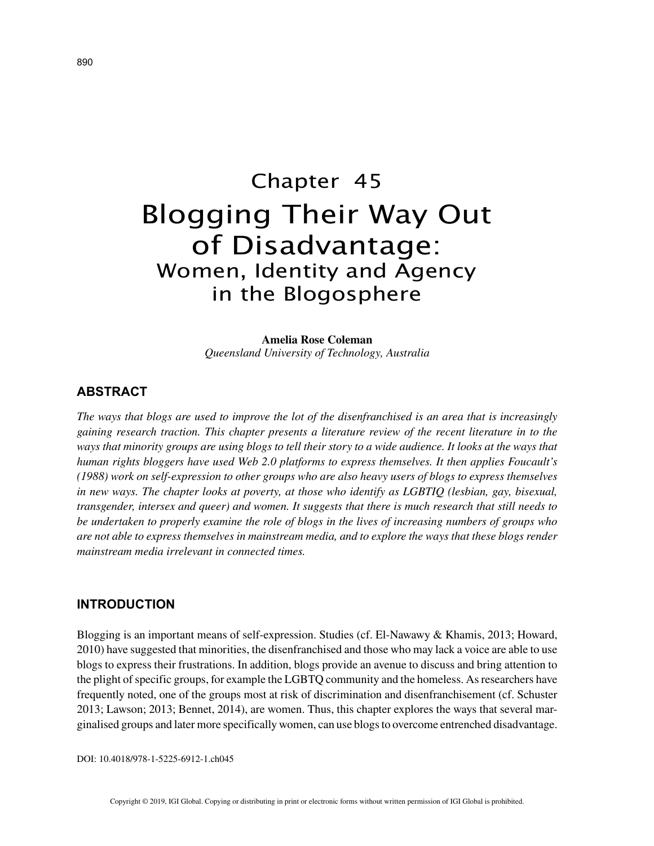# Chapter 45 Blogging Their Way Out of Disadvantage: Women, Identity and Agency in the Blogosphere

**Amelia Rose Coleman** *Queensland University of Technology, Australia*

## **ABSTRACT**

*The ways that blogs are used to improve the lot of the disenfranchised is an area that is increasingly gaining research traction. This chapter presents a literature review of the recent literature in to the ways that minority groups are using blogs to tell their story to a wide audience. It looks at the ways that human rights bloggers have used Web 2.0 platforms to express themselves. It then applies Foucault's (1988) work on self-expression to other groups who are also heavy users of blogs to express themselves in new ways. The chapter looks at poverty, at those who identify as LGBTIQ (lesbian, gay, bisexual, transgender, intersex and queer) and women. It suggests that there is much research that still needs to be undertaken to properly examine the role of blogs in the lives of increasing numbers of groups who are not able to express themselves in mainstream media, and to explore the ways that these blogs render mainstream media irrelevant in connected times.*

# **INTRODUCTION**

Blogging is an important means of self-expression. Studies (cf. El-Nawawy & Khamis, 2013; Howard, 2010) have suggested that minorities, the disenfranchised and those who may lack a voice are able to use blogs to express their frustrations. In addition, blogs provide an avenue to discuss and bring attention to the plight of specific groups, for example the LGBTQ community and the homeless. As researchers have frequently noted, one of the groups most at risk of discrimination and disenfranchisement (cf. Schuster 2013; Lawson; 2013; Bennet, 2014), are women. Thus, this chapter explores the ways that several marginalised groups and later more specifically women, can use blogs to overcome entrenched disadvantage.

DOI: 10.4018/978-1-5225-6912-1.ch045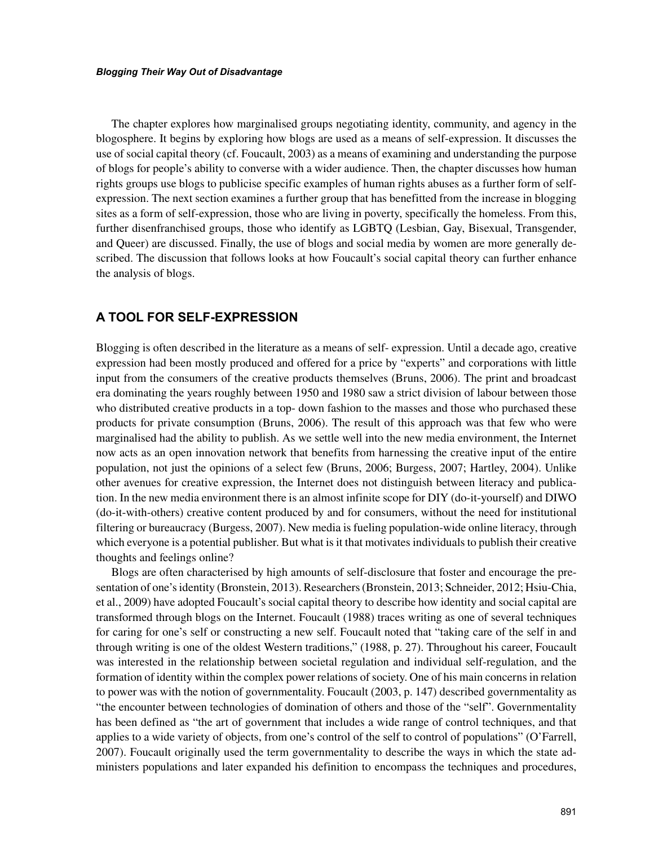The chapter explores how marginalised groups negotiating identity, community, and agency in the blogosphere. It begins by exploring how blogs are used as a means of self-expression. It discusses the use of social capital theory (cf. Foucault, 2003) as a means of examining and understanding the purpose of blogs for people's ability to converse with a wider audience. Then, the chapter discusses how human rights groups use blogs to publicise specific examples of human rights abuses as a further form of selfexpression. The next section examines a further group that has benefitted from the increase in blogging sites as a form of self-expression, those who are living in poverty, specifically the homeless. From this, further disenfranchised groups, those who identify as LGBTQ (Lesbian, Gay, Bisexual, Transgender, and Queer) are discussed. Finally, the use of blogs and social media by women are more generally described. The discussion that follows looks at how Foucault's social capital theory can further enhance the analysis of blogs.

# **A TOOL FOR SELF-EXPRESSION**

Blogging is often described in the literature as a means of self- expression. Until a decade ago, creative expression had been mostly produced and offered for a price by "experts" and corporations with little input from the consumers of the creative products themselves (Bruns, 2006). The print and broadcast era dominating the years roughly between 1950 and 1980 saw a strict division of labour between those who distributed creative products in a top- down fashion to the masses and those who purchased these products for private consumption (Bruns, 2006). The result of this approach was that few who were marginalised had the ability to publish. As we settle well into the new media environment, the Internet now acts as an open innovation network that benefits from harnessing the creative input of the entire population, not just the opinions of a select few (Bruns, 2006; Burgess, 2007; Hartley, 2004). Unlike other avenues for creative expression, the Internet does not distinguish between literacy and publication. In the new media environment there is an almost infinite scope for DIY (do-it-yourself) and DIWO (do-it-with-others) creative content produced by and for consumers, without the need for institutional filtering or bureaucracy (Burgess, 2007). New media is fueling population-wide online literacy, through which everyone is a potential publisher. But what is it that motivates individuals to publish their creative thoughts and feelings online?

Blogs are often characterised by high amounts of self-disclosure that foster and encourage the presentation of one's identity (Bronstein, 2013). Researchers (Bronstein, 2013; Schneider, 2012; Hsiu-Chia, et al., 2009) have adopted Foucault's social capital theory to describe how identity and social capital are transformed through blogs on the Internet. Foucault (1988) traces writing as one of several techniques for caring for one's self or constructing a new self. Foucault noted that "taking care of the self in and through writing is one of the oldest Western traditions," (1988, p. 27). Throughout his career, Foucault was interested in the relationship between societal regulation and individual self-regulation, and the formation of identity within the complex power relations of society. One of his main concerns in relation to power was with the notion of governmentality. Foucault (2003, p. 147) described governmentality as "the encounter between technologies of domination of others and those of the "self". Governmentality has been defined as "the art of government that includes a wide range of control techniques, and that applies to a wide variety of objects, from one's control of the self to control of populations" (O'Farrell, 2007). Foucault originally used the term governmentality to describe the ways in which the state administers populations and later expanded his definition to encompass the techniques and procedures,